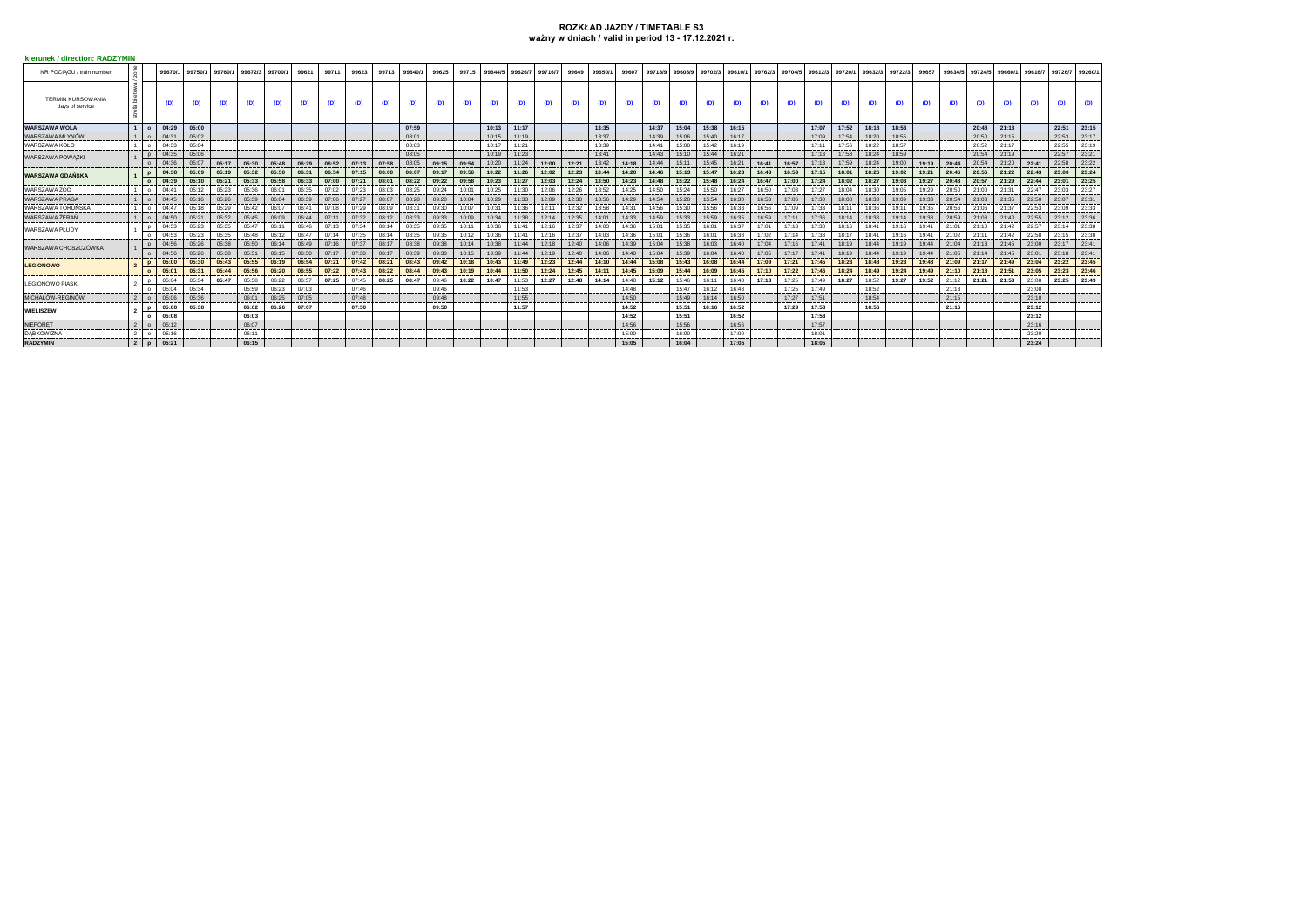## **ROZKŁAD JAZDY / TIMETABLE S3 ważny w dniach / valid in period 13 - 17.12.2021 r.**

| <b>kierunek / direction: RADZYMIN</b>       |  |                |         |         |         |         |         |       |       |       |       |         |       |       |         |         |         |       |         |       |       |                 |       |                 |         |         |         |       |                 |         |       |         |         |           |         |                |       |
|---------------------------------------------|--|----------------|---------|---------|---------|---------|---------|-------|-------|-------|-------|---------|-------|-------|---------|---------|---------|-------|---------|-------|-------|-----------------|-------|-----------------|---------|---------|---------|-------|-----------------|---------|-------|---------|---------|-----------|---------|----------------|-------|
| NR POCIAGU / train number                   |  |                | 99670/1 | 99750/1 | 99760/1 | 99672/3 | 99700/1 | 99621 | 9971  | 99623 | 99713 | 99640/1 | 99625 | 99715 | 99644/5 | 99626/7 | 99716/7 | 99649 | 99650/1 | 99607 |       | 99718/9 99608/9 |       | 99702/3 99610/1 | 99762/3 | 99704/5 | 99612/3 |       | 99720/1 99632/3 | 99722/3 | 99657 | 99634/5 | 99724/5 | 99660/1   | 99616/7 | 99726/7 99260/ |       |
| <b>TERMIN KURSOWANIA</b><br>days of service |  |                | (D)     | (D)     | (D)     | (D)     | (D)     | (D)   | (D)   | (D)   | (D)   | (D)     | (D)   | (D)   | (D)     | (D)     | (D)     | (D)   | (D)     | (D)   | (D)   | (D)             | (D)   | (D)             | (D)     | (D)     | (D)     | (D)   | (D)             | (D)     | (D)   | (D)     | (D)     | (D)       | (D)     | (D)            | (D)   |
| <b>WARSZAWA WOLA</b>                        |  | 1 I o          | 04:29   | 05:00   |         |         |         |       |       |       |       | 07:59   |       |       | 10:13   | 11:17   |         |       | 13:35   |       | 14:37 | 15:04           | 15:38 | 16:15           |         |         | 17:07   | 17:52 | 18:18           | 18:53   |       |         | 20:48   | 21:13     |         | 22:51          | 23:15 |
| WARSZAWA MŁYNÓW                             |  |                | 04:31   | 05:02   |         |         |         |       |       |       |       | 08:01   |       |       | 10:15   | 11:19   |         |       | 13:37   |       | 14:39 | 15:06           | 15:40 | 16:17           |         |         | 17:09   | 17:54 | 18:20           | 18:55   |       |         | 20:50   | 21:15     |         | 22:53          | 23:17 |
| WARSZAWA KOŁO                               |  |                | 04:33   | 05:04   |         |         |         |       |       |       |       | 08:03   |       |       | 10:17   | 11:21   |         |       | 13:39   |       | 14:41 | 15:08           | 15:42 | 16:19           |         |         | 17:11   | 17:56 | 18:22           | 18:57   |       |         | 20:52   | 21:17     |         | 22:55          | 23:19 |
| <b>WARSZAWA POWAZKI</b>                     |  |                | 04:35   | 05:06   |         |         |         |       |       |       |       | 08:05   |       |       | 10:19   | 11:23   |         |       | 13:41   |       | 14:43 | 15:10           | 15:44 | 16:21           |         |         | 17:13   | 17:58 | 18:24           | 18:59   |       |         | 20:54   | 21:19     |         | 22:57          | 23:21 |
|                                             |  |                | 04:36   | 05:07   | 05:17   | 05:30   | 05:48   | 06:29 | 06:52 | 07:13 | 07:58 | 08:05   | 09:15 | 09:54 | 10:20   | 11:24   | 12:00   | 12:21 | 13:42   | 14:18 | 14:44 | 15:11           | 15:45 | 16:21           | 16:41   | 16:57   | 17:13   | 17:59 | 18:24           | 19:00   | 19:19 | 20:44   | 20:54   | 21:20     | 22:41   | 22:58          | 23:22 |
| <b>WARSZAWA GDAŃSKA</b>                     |  | $\mathbf{D}$   | 04:38   | 05:09   | 05:19   | 05:32   | 05:50   | 06:31 | 06:54 | 07:15 | 08:00 | 08:07   | 09:17 | 09:56 | 10:22   | 11:26   | 12:02   | 12:23 | 13:44   | 14:20 | 14:46 | 15:13           | 15:47 | 16:23           | 16:43   | 16:59   | 17:15   | 18:01 | 18:26           | 19:02   | 19:21 | 20:46   | 20:56   | 21:22     | 22:43   | 23:00          | 23:24 |
|                                             |  |                | 04:39   | 05:10   | 05:21   | 05:33   | 05:58   | 06:33 | 07:00 | 07:21 | 08:01 | 08:22   | 09:22 | 09:58 | 10:23   | 11:27   | 12:03   | 12:24 | 13:50   | 14:23 | 14:48 | 15:22           | 15:48 | 16:24           | 16:47   | 17:00   | 17:24   | 18:02 | 18:27           | 19:03   | 19:27 | 20:48   | 20:57   | 21:29     | 22:44   | 23:01          | 23:25 |
| WARSZAWA ZOO                                |  |                | 04:41   | 05:12   | 05:23   | 05:36   | 06:01   | 06:35 | 07:02 | 07:23 | 08:03 | 08:25   | 09:24 | 10:01 | 10:25   | 11:30   | 12:06   | 12:26 | 13:52   | 14:25 | 14:50 | 15:24           | 15:50 | 16:27           | 16:50   | 17:03   | 17:27   | 18:04 | 18:30           | 19:05   | 19:29 | 20:50   | 21:00   | 21:31     | 22:47   | 23:03          | 23:27 |
| <b>WARSZAWA PRAGA</b>                       |  |                | 04:45   | 05:16   | 05:26   | 05:39   | 06:04   | 06:39 | 07:06 | 07:27 | 08:07 | 08:28   | 09:28 | 10:04 | 10:29   | 11:33   | 12:09   | 12:30 | 13:56   | 14:29 | 14:54 | 15:28           | 15:54 | 16:30           | 16:53   | 17:06   | 17:30   | 18:08 | 18:33           | 19:09   | 19:33 | 20:54   | 21:03   | 21:35     | 22:50   | 23:07          | 23:31 |
| WARSZAWA TORUŃSKA                           |  |                | 04:47   | 05:18   | 05:29   | 05:42   | 06:07   | 06:41 | 07:08 | 07:29 | 08:09 | 08:31   | 09:30 | 10:07 | 10:31   | 11:36   | 12:11   | 12:32 | 13:58   | 14:31 | 14:56 | 15:30           | 15:56 | 16:33           | 16:56   | 17:09   | 17:33   | 18:11 | 18:36           | 19:11   | 19:35 | 20:56   | 21:06   | 21:37     | 22:53   | 23:09          | 23:33 |
| WARSZAWA ŻERAŃ                              |  |                | 04:50   | 05:21   | 05:32   | 05:45   | 06:09   | 06:44 | 07:11 | 07:32 | 08:12 | 08:33   | 09:33 | 10:09 | 10:34   | 11:38   | 12:14   | 12:35 | 14:01   | 14:33 | 14:59 | 15:33           | 15:59 | 16:35           | 16:59   | 17:11   | 17:36   | 18:14 | 18:38           | 19:14   | 19:38 | 20:59   | 21:08   | $21 - 40$ | 22:55   | 23:12          | 23:36 |
| WARSZAWA PŁUDY                              |  |                | 04:53   | 05:23   | 05:35   | 05:47   | 06:11   | 06:46 | 07:13 | 07:34 | 08:14 | 08:35   | 09:35 | 10:11 | 10:36   | 11:41   | 12:16   | 12:37 | 14:03   | 14:36 | 15:01 | 15:35           | 16:01 | 16:37           | 17:01   | 17:13   | 17:38   | 18:16 | 18:41           | 19:16   | 19:41 | 21:01   | 21:10   | 21:42     | 22:57   | 23:14          | 23:38 |
|                                             |  |                | 04:53   | 05:23   | 05:35   | 05:48   | 06:12   | 06:47 | 07:14 | 07:35 | 08:14 | 08:35   | 09:35 | 10:12 | 10:36   | 11:41   | 12:16   | 12:37 | 14:03   | 14:36 | 15:01 | 15:36           | 16:01 | 16:38           | 17:02   | 17:14   | 17:38   | 18:17 | 18:41           | 19:16   | 19:41 | 21:02   | 21:11   | 21:42     | 22:58   | 23:15          | 23:38 |
| WARSZAWA CHOSZCZÓWKA                        |  |                | 04:56   | 05:26   | 05:38   | 05:50   | 06:14   | 06:49 | 07:16 | 07:37 | 08:17 | 08:38   | 09:38 | 10:14 | 10:38   | 11:44   | 12:18   | 12:40 | 14:06   | 14:39 | 15:04 | 15:38           | 16:03 | 16:40           | 17:04   | 17:16   | 17:41   | 18:19 | 18:44           | 19:19   | 19:44 | 21:04   | 21:13   | 21:45     | 23:00   | 23:17          | 23:41 |
|                                             |  |                | 04:56   | 05:26   | 05:38   | 05:51   | 06:15   | 06:50 | 07:17 | 07:38 | 08:17 | 08:39   | 09:38 | 10:15 | 10:39   | 11:44   | 12:19   | 12:40 | 14:06   | 14:40 | 15:04 | 15:39           | 16:04 | 16:40           | 17:05   | 17:17   | 17:41   | 18:19 | 18:44           | 19:19   | 19:44 | 21:05   | 21:14   | 21:45     | 23:01   | 23:18          | 23:41 |
| <b>LEGIONOWO</b>                            |  |                | 05:00   | 05:30   | 05:43   | 05:55   | 06:19   | 06:54 | 07:21 | 07:42 | 08:21 | 08:43   | 09:42 | 10:18 | 10:43   | 11:49   | 12:23   | 12:44 | 14:10   | 14:44 | 15:08 | 15:43           | 16:08 | 16:44           | 17:09   | 17:21   | 17:45   | 18:23 | 18:48           | 19:23   | 19:48 | 21:09   | 21:17   | 21:49     | 23:04   | 23:22          | 23:45 |
|                                             |  |                | 05:01   | 05:31   | 05:44   | 05:56   | 06:20   | 06:55 | 07:22 | 07:43 | 08:22 | 08:44   | 09:43 | 10:19 | 10:44   | 11:50   | 12:24   | 12:45 | 14:11   | 14:45 | 15:09 | 15:44           | 16:09 | 16:45           | 17:10   | 17:22   | 17:46   | 18:24 | 18:49           | 19:24   | 19:49 | 21:10   | 21:18   | 21:51     | 23:05   | 23:23          | 23:46 |
| <b>LEGIONOWO PIASKI</b>                     |  |                | 05:04   | 05:34   | 05:47   | 05:58   | 06:22   | 06:57 | 07:25 | 07:45 | 08:25 | 08:47   | 09:46 | 10:22 | 10:47   | 11:53   | 12:27   | 12:48 | 14:14   | 14:48 | 15:12 | 15:46           | 16:11 | 16:48           | 17:13   | 17:25   | 17:49   | 18:27 | 18:52           | 19:27   | 19:52 | 21:12   | 21:21   | 21:53     | 23:08   | 23:25          | 23:49 |
|                                             |  |                | 05:04   | 05:34   |         | 05:59   | 06:23   | 07:03 |       | 07:46 |       |         | 09:46 |       |         | 11:53   |         |       |         | 14:48 |       | 15:47           | 16:12 | 16:48           |         | 17:25   | 17:49   |       | 18:52           |         |       | 21:13   |         |           | 23:08   |                |       |
| MICHAŁÓW-REGINÓW                            |  | 2 <sub>0</sub> | 05:06   | 05:36   |         | 06:01   | 06:25   | 07:05 |       | 07:48 |       |         | 09:48 |       |         | 11:55   |         |       |         | 14:50 |       | 15:49           | 16:14 | 16:50           |         | 17:27   | 17:51   |       | 18:54           |         |       | 21:15   |         |           | 23:10   |                |       |
| <b>WIELISZEW</b>                            |  |                | 05:08   | 05:38   |         | 06:02   | 06:26   | 07:07 |       | 07:50 |       |         | 09:50 |       |         | 11:57   |         |       |         | 14:52 |       | 15:51           | 16:16 | 16:52           |         | 17:29   | 17:53   |       | 18:56           |         |       | 21:16   |         |           | 23:12   |                |       |
|                                             |  |                | 05:08   |         |         | 06:03   |         |       |       |       |       |         |       |       |         |         |         |       |         | 14:52 |       | 15:51           |       | 16:52           |         |         | 17:53   |       |                 |         |       |         |         |           | 23:12   |                |       |
| <b>NIEPORET</b>                             |  |                | 05:12   |         |         | 06:07   |         |       |       |       |       |         |       |       |         |         |         |       |         | 14:56 |       | 15:56           |       | 16:56           |         |         | 17:57   |       |                 |         |       |         |         |           | 23:16   |                |       |
| <b>DABKOWIZNA</b>                           |  |                | 05:16   |         |         | 06:11   |         |       |       |       |       |         |       |       |         |         |         |       |         | 15:00 |       | 16:00           |       | 17:00           |         |         | 18:01   |       |                 |         |       |         |         |           | 23:20   |                |       |
| <b>RADZYMIN</b>                             |  | $2$   $p$      | 05:21   |         |         | 06:15   |         |       |       |       |       |         |       |       |         |         |         |       |         | 15:05 |       | 16:04           |       | 17:05           |         |         | 18:05   |       |                 |         |       |         |         |           | 23:24   |                |       |